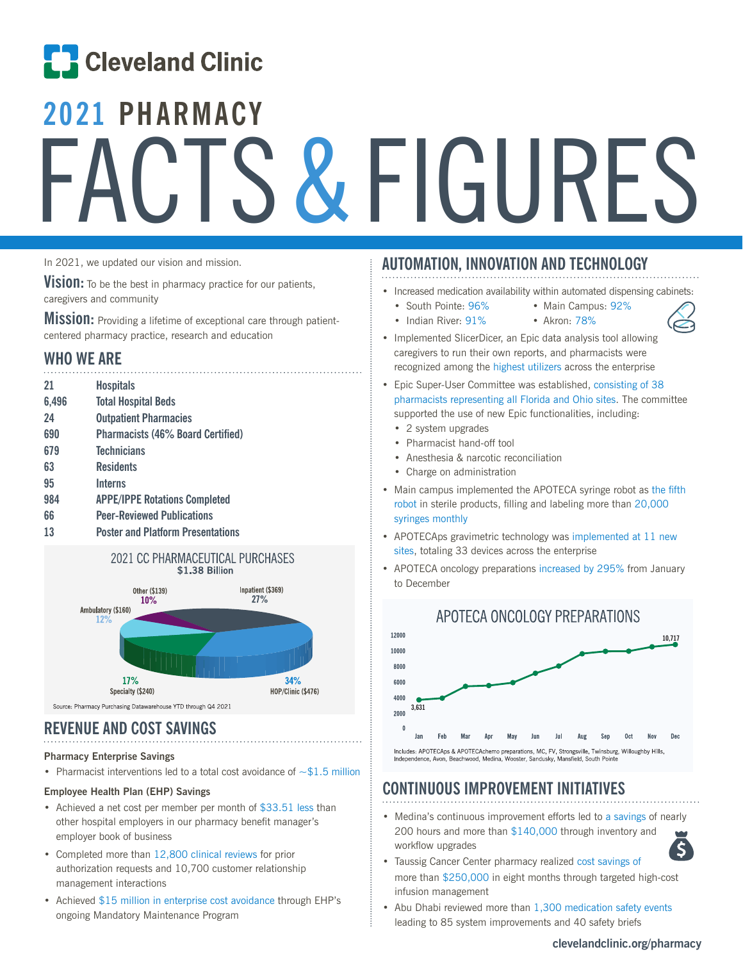# **ED** Cleveland Clinic

# **2021 PHARMACY** FACTS & FIGURES

In 2021, we updated our vision and mission.

**Vision:** To be the best in pharmacy practice for our patients, caregivers and community

**Mission:** Providing a lifetime of exceptional care through patientcentered pharmacy practice, research and education

### **WHO WE ARE**

| 21    | <b>Hospitals</b>                         |
|-------|------------------------------------------|
| 6,496 | <b>Total Hospital Beds</b>               |
| 24    | <b>Outpatient Pharmacies</b>             |
| 690   | <b>Pharmacists (46% Board Certified)</b> |
| 679   | <b>Technicians</b>                       |
| 63    | <b>Residents</b>                         |
| 95    | <b>Interns</b>                           |
| 984   | <b>APPE/IPPE Rotations Completed</b>     |
| 66    | <b>Peer-Reviewed Publications</b>        |
| 13    | <b>Poster and Platform Presentations</b> |



Source: Pharmacy Purchasing Datawarehouse YTD through Q4 2021

# **REVENUE AND COST SAVINGS**

#### **Pharmacy Enterprise Savings**

• Pharmacist interventions led to a total cost avoidance of  $\sim $1.5$  million

#### **Employee Health Plan (EHP) Savings**

- Achieved a net cost per member per month of \$33.51 less than other hospital employers in our pharmacy benefit manager's employer book of business
- Completed more than 12,800 clinical reviews for prior authorization requests and 10,700 customer relationship management interactions
- Achieved \$15 million in enterprise cost avoidance through EHP's ongoing Mandatory Maintenance Program

## **AUTOMATION, INNOVATION AND TECHNOLOGY**

- Increased medication availability within automated dispensing cabinets:
	- South Pointe: 96% Main Campus: 92%
		-
	- Indian River: 91% Akron: 78%
- 



- Implemented SlicerDicer, an Epic data analysis tool allowing caregivers to run their own reports, and pharmacists were recognized among the highest utilizers across the enterprise
- Epic Super-User Committee was established, consisting of 38 pharmacists representing all Florida and Ohio sites. The committee supported the use of new Epic functionalities, including:
	- 2 system upgrades
	- Pharmacist hand-off tool
	- Anesthesia & narcotic reconciliation
	- Charge on administration
- Main campus implemented the APOTECA syringe robot as the fifth robot in sterile products, filling and labeling more than 20,000 syringes monthly
- APOTECAps gravimetric technology was implemented at 11 new sites, totaling 33 devices across the enterprise
- APOTECA oncology preparations increased by 295% from January to December



# **CONTINUOUS IMPROVEMENT INITIATIVES**

• Medina's continuous improvement efforts led to a savings of nearly 200 hours and more than \$140,000 through inventory and workflow upgrades



- Taussig Cancer Center pharmacy realized cost savings of more than \$250,000 in eight months through targeted high-cost infusion management
- Abu Dhabi reviewed more than 1,300 medication safety events leading to 85 system improvements and 40 safety briefs

#### **clevelandclinic.org/pharmacy**